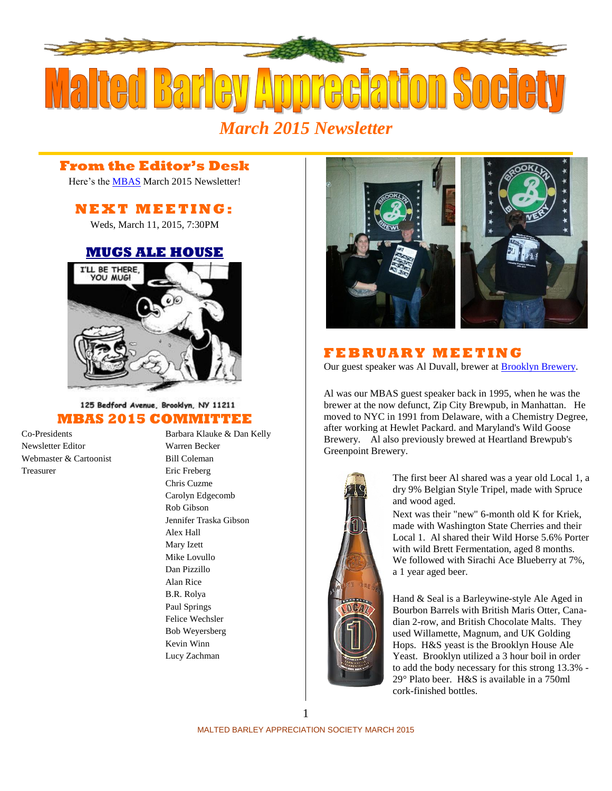

## **From the Editor's Desk**

Here's the [MBAS](http://hbd.org/mbas) March 2015 Newsletter!

# **N E X T M E ETI N G :**

Weds, March 11, 2015, 7:30PM

## **[MUGS ALE HOUSE](http://www.mugsalehouse.com/)**



### 125 Bedford Avenue, Brooklyn, NY 11211 **MBAS 2015 COMMITTEE**

Newsletter Editor Warren Becker Webmaster & Cartoonist Bill Coleman Treasurer Eric Freberg

Co-Presidents Barbara Klauke & Dan Kelly Chris Cuzme Carolyn Edgecomb Rob Gibson Jennifer Traska Gibson Alex Hall Mary Izett Mike Lovullo Dan Pizzillo Alan Rice B.R. Rolya Paul Springs Felice Wechsler Bob Weyersberg Kevin Winn Lucy Zachman



# **F E B R U A R Y M E E TI N G**

Our guest speaker was Al Duvall, brewer at **Brooklyn Brewery**.

Al was our MBAS guest speaker back in 1995, when he was the brewer at the now defunct, Zip City Brewpub, in Manhattan. He moved to NYC in 1991 from Delaware, with a Chemistry Degree, after working at Hewlet Packard. and Maryland's Wild Goose Brewery. Al also previously brewed at Heartland Brewpub's Greenpoint Brewery.



The first beer Al shared was a year old Local 1, a dry 9% Belgian Style Tripel, made with Spruce and wood aged.

Next was their "new" 6-month old K for Kriek, made with Washington State Cherries and their Local 1. Al shared their Wild Horse 5.6% Porter with wild Brett Fermentation, aged 8 months. We followed with Sirachi Ace Blueberry at 7%, a 1 year aged beer.

Hand & Seal is a Barleywine-style Ale Aged in Bourbon Barrels with British Maris Otter, Canadian 2-row, and British Chocolate Malts. They used Willamette, Magnum, and UK Golding Hops. H&S yeast is the Brooklyn House Ale Yeast. Brooklyn utilized a 3 hour boil in order to add the body necessary for this strong 13.3% - 29° Plato beer. H&S is available in a 750ml cork-finished bottles.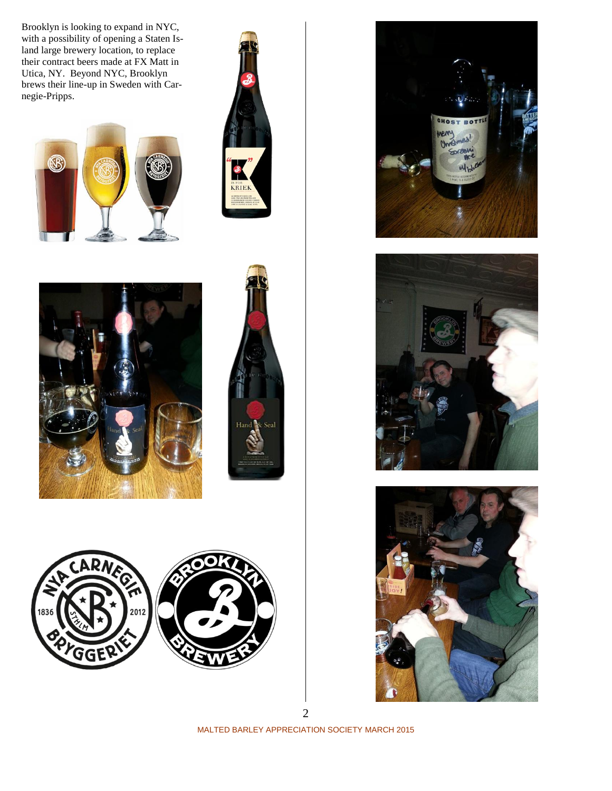Brooklyn is looking to expand in NYC, with a possibility of opening a Staten Island large brewery location, to replace their contract beers made at FX Matt in Utica, NY. Beyond NYC, Brooklyn brews their line-up in Sweden with Carnegie-Pripps.

















2

MALTED BARLEY APPRECIATION SOCIETY MARCH 2015